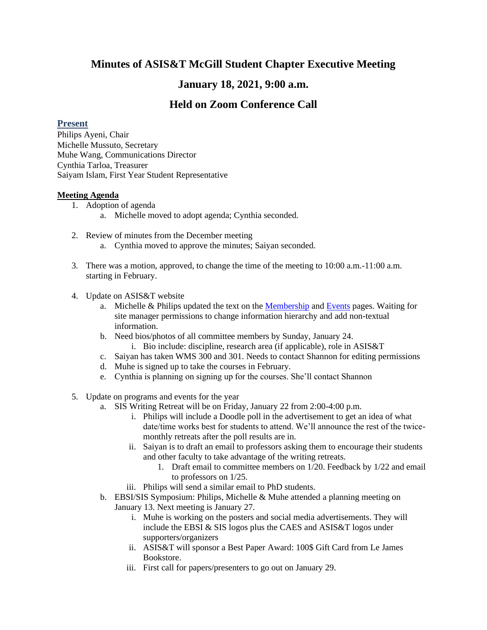# **Minutes of ASIS&T McGill Student Chapter Executive Meeting**

## **January 18, 2021, 9:00 a.m.**

## **Held on Zoom Conference Call**

### **Present**

Philips Ayeni, Chair Michelle Mussuto, Secretary Muhe Wang, Communications Director Cynthia Tarloa, Treasurer Saiyam Islam, First Year Student Representative

### **Meeting Agenda**

- 1. Adoption of agenda
	- a. Michelle moved to adopt agenda; Cynthia seconded.
- 2. Review of minutes from the December meeting a. Cynthia moved to approve the minutes; Saiyan seconded.
- 3. There was a motion, approved, to change the time of the meeting to 10:00 a.m.-11:00 a.m. starting in February.
- 4. Update on ASIS&T website
	- a. Michelle & Philips updated the text on the [Membership](https://www.mcgill.ca/sis-students/asist/membership-information) and [Events](https://www.mcgill.ca/sis-students/asist/events) pages. Waiting for site manager permissions to change information hierarchy and add non-textual information.
	- b. Need bios/photos of all committee members by Sunday, January 24.
		- i. Bio include: discipline, research area (if applicable), role in ASIS&T
	- c. Saiyan has taken WMS 300 and 301. Needs to contact Shannon for editing permissions
	- d. Muhe is signed up to take the courses in February.
	- e. Cynthia is planning on signing up for the courses. She'll contact Shannon
- 5. Update on programs and events for the year
	- a. SIS Writing Retreat will be on Friday, January 22 from 2:00-4:00 p.m.
		- i. Philips will include a Doodle poll in the advertisement to get an idea of what date/time works best for students to attend. We'll announce the rest of the twicemonthly retreats after the poll results are in.
		- ii. Saiyan is to draft an email to professors asking them to encourage their students and other faculty to take advantage of the writing retreats.
			- 1. Draft email to committee members on 1/20. Feedback by 1/22 and email to professors on 1/25.
		- iii. Philips will send a similar email to PhD students.
	- b. EBSI/SIS Symposium: Philips, Michelle & Muhe attended a planning meeting on January 13. Next meeting is January 27.
		- i. Muhe is working on the posters and social media advertisements. They will include the EBSI & SIS logos plus the CAES and ASIS&T logos under supporters/organizers
		- ii. ASIS&T will sponsor a Best Paper Award: 100\$ Gift Card from Le James Bookstore.
		- iii. First call for papers/presenters to go out on January 29.